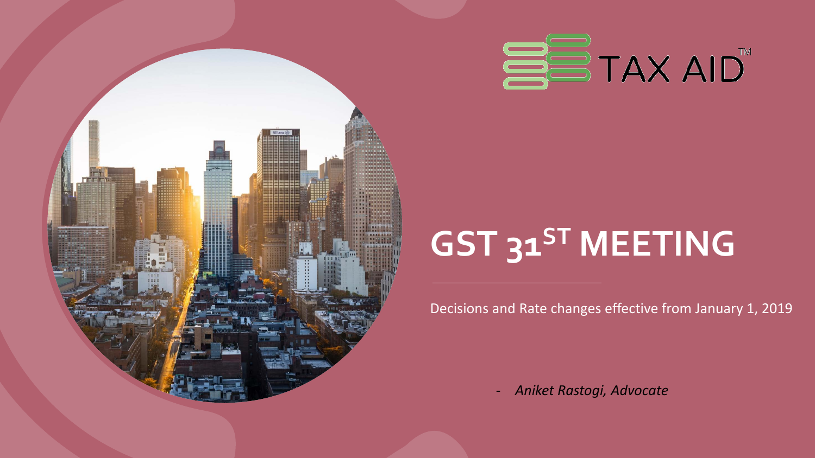

## **GST 31ST MEETING**

Decisions and Rate changes effective from January 1, 2019

- *Aniket Rastogi, Advocate*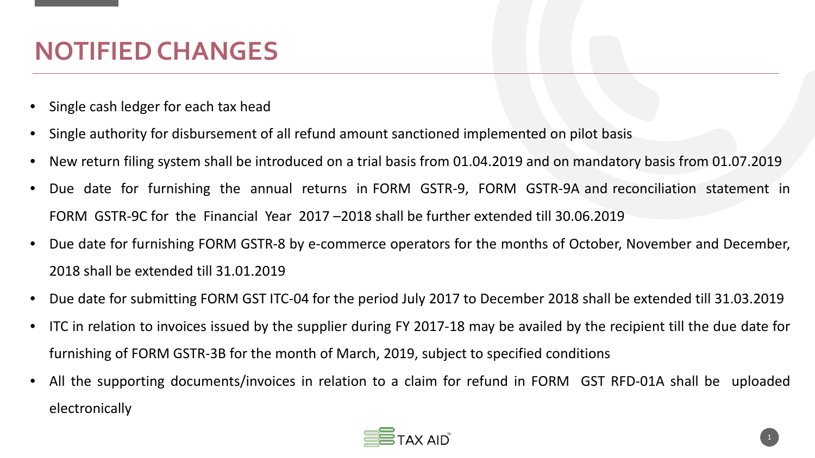#### **NOTIFIED CHANGES**

- Single cash ledger for each tax head
- Single authority for disbursement of all refund amount sanctioned implemented on pilot basis
- New return filing system shall be introduced on a trial basis from 01.04.2019 and on mandatory basis from 01.07.2019
- Due date for furnishing the annual returns in FORM GSTR-9, FORM GSTR-9A and reconciliation statement in FORM GSTR-9C for the Financial Year 2017 –2018 shall be further extended till 30.06.2019
- Due date for furnishing FORM GSTR-8 by e-commerce operators for the months of October, November and December, 2018 shall be extended till 31.01.2019
- Due date for submitting FORM GST ITC-04 for the period July 2017 to December 2018 shall be extended till 31.03.2019
- ITC in relation to invoices issued by the supplier during FY 2017-18 may be availed by the recipient till the due date for furnishing of FORM GSTR-3B for the month of March, 2019, subject to specified conditions
- All the supporting documents/invoices in relation to a claim for refund in FORM GST RFD-01A shall be uploaded electronically

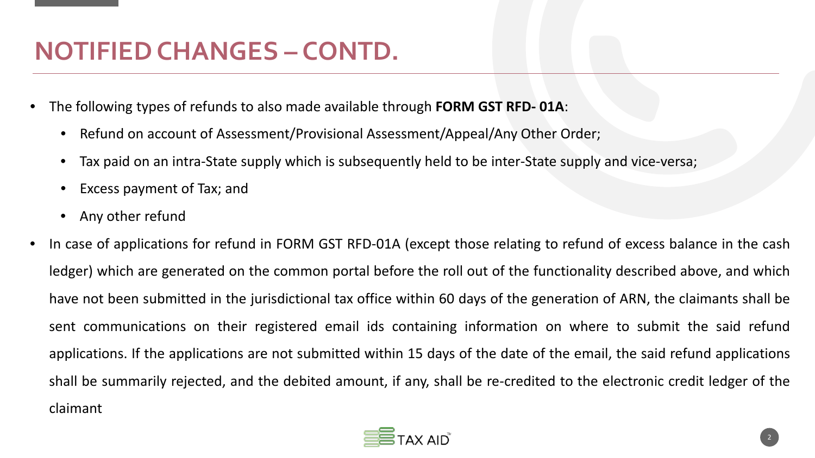#### **NOTIFIED CHANGES – CONTD.**

- The following types of refunds to also made available through **FORM GST RFD- 01A**:
	- Refund on account of Assessment/Provisional Assessment/Appeal/Any Other Order;
	- Tax paid on an intra-State supply which is subsequently held to be inter-State supply and vice-versa;
	- Excess payment of Tax; and
	- Any other refund
- In case of applications for refund in FORM GST RFD-01A (except those relating to refund of excess balance in the cash ledger) which are generated on the common portal before the roll out of the functionality described above, and which have not been submitted in the jurisdictional tax office within 60 days of the generation of ARN, the claimants shall be sent communications on their registered email ids containing information on where to submit the said refund applications. If the applications are not submitted within 15 days of the date of the email, the said refund applications shall be summarily rejected, and the debited amount, if any, shall be re-credited to the electronic credit ledger of the claimant

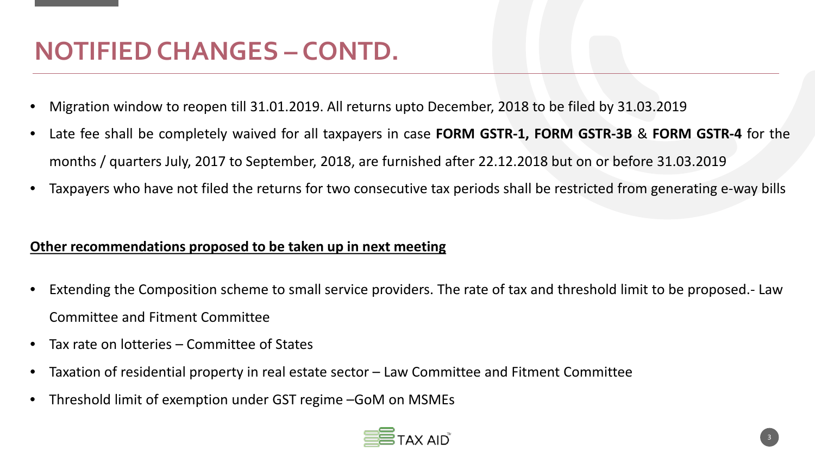#### **NOTIFIED CHANGES – CONTD.**

- Migration window to reopen till 31.01.2019. All returns upto December, 2018 to be filed by 31.03.2019
- Late fee shall be completely waived for all taxpayers in case **FORM GSTR-1, FORM GSTR-3B** & **FORM GSTR-4** for the months / quarters July, 2017 to September, 2018, are furnished after 22.12.2018 but on or before 31.03.2019
- Taxpayers who have not filed the returns for two consecutive tax periods shall be restricted from generating e-way bills

#### **Other recommendations proposed to be taken up in next meeting**

- Extending the Composition scheme to small service providers. The rate of tax and threshold limit to be proposed.- Law Committee and Fitment Committee
- Tax rate on lotteries Committee of States
- Taxation of residential property in real estate sector Law Committee and Fitment Committee
- Threshold limit of exemption under GST regime –GoM on MSMEs

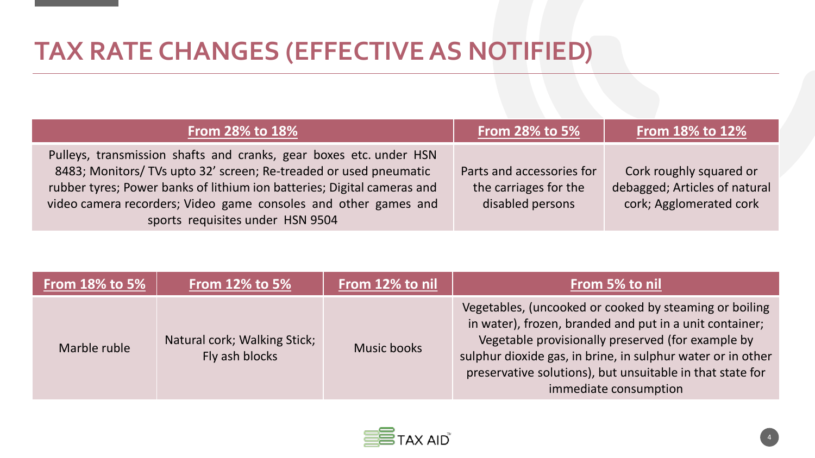#### **TAX RATE CHANGES (EFFECTIVE AS NOTIFIED)**

| <b>From 28% to 18%</b>                                                                                                                                                                                                                                                                                                    | <b>From 28% to 5%</b>                                                  | <b>From 18% to 12%</b>                                                              |
|---------------------------------------------------------------------------------------------------------------------------------------------------------------------------------------------------------------------------------------------------------------------------------------------------------------------------|------------------------------------------------------------------------|-------------------------------------------------------------------------------------|
| Pulleys, transmission shafts and cranks, gear boxes etc. under HSN<br>8483; Monitors/ TVs upto 32' screen; Re-treaded or used pneumatic<br>rubber tyres; Power banks of lithium ion batteries; Digital cameras and<br>video camera recorders; Video game consoles and other games and<br>sports requisites under HSN 9504 | Parts and accessories for<br>the carriages for the<br>disabled persons | Cork roughly squared or<br>debagged; Articles of natural<br>cork; Agglomerated cork |

| <b>From 18% to 5%</b> | <b>From 12% to 5%</b>                          | From 12% to nil | From 5% to nil                                                                                                                                                                                                                                                                                                              |
|-----------------------|------------------------------------------------|-----------------|-----------------------------------------------------------------------------------------------------------------------------------------------------------------------------------------------------------------------------------------------------------------------------------------------------------------------------|
| Marble ruble          | Natural cork; Walking Stick;<br>Fly ash blocks | Music books     | Vegetables, (uncooked or cooked by steaming or boiling<br>in water), frozen, branded and put in a unit container;<br>Vegetable provisionally preserved (for example by<br>sulphur dioxide gas, in brine, in sulphur water or in other<br>preservative solutions), but unsuitable in that state for<br>immediate consumption |

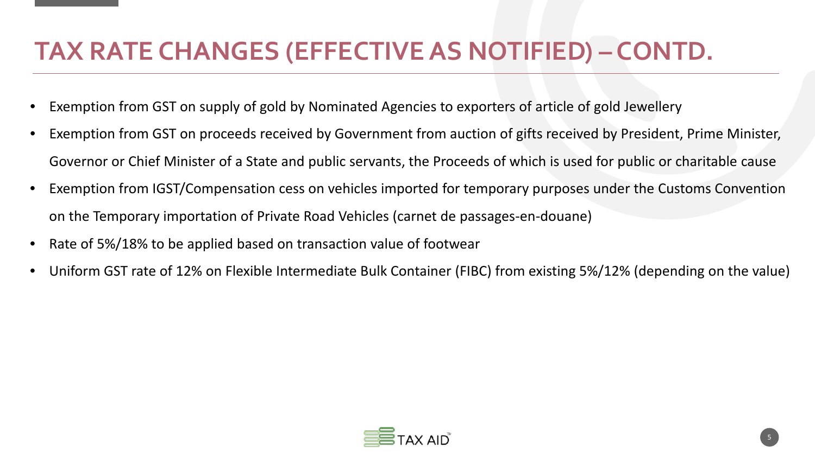#### **TAX RATE CHANGES (EFFECTIVE AS NOTIFIED) – CONTD.**

- Exemption from GST on supply of gold by Nominated Agencies to exporters of article of gold Jewellery
- Exemption from GST on proceeds received by Government from auction of gifts received by President, Prime Minister, Governor or Chief Minister of a State and public servants, the Proceeds of which is used for public or charitable cause
- Exemption from IGST/Compensation cess on vehicles imported for temporary purposes under the Customs Convention on the Temporary importation of Private Road Vehicles (carnet de passages-en-douane)
- Rate of 5%/18% to be applied based on transaction value of footwear
- Uniform GST rate of 12% on Flexible Intermediate Bulk Container (FIBC) from existing 5%/12% (depending on the value)

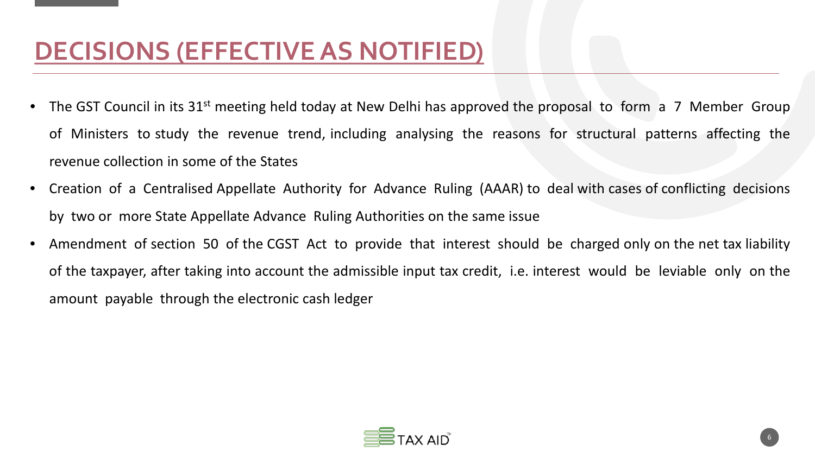#### **DECISIONS (EFFECTIVE AS NOTIFIED)**

- The GST Council in its 31<sup>st</sup> meeting held today at New Delhi has approved the proposal to form a 7 Member Group of Ministers to study the revenue trend, including analysing the reasons for structural patterns affecting the revenue collection in some of the States
- Creation of a Centralised Appellate Authority for Advance Ruling (AAAR) to deal with cases of conflicting decisions by two or more State Appellate Advance Ruling Authorities on the same issue
- Amendment of section 50 of the CGST Act to provide that interest should be charged only on the net tax liability of the taxpayer, after taking into account the admissible input tax credit, i.e. interest would be leviable only on the amount payable through the electronic cash ledger

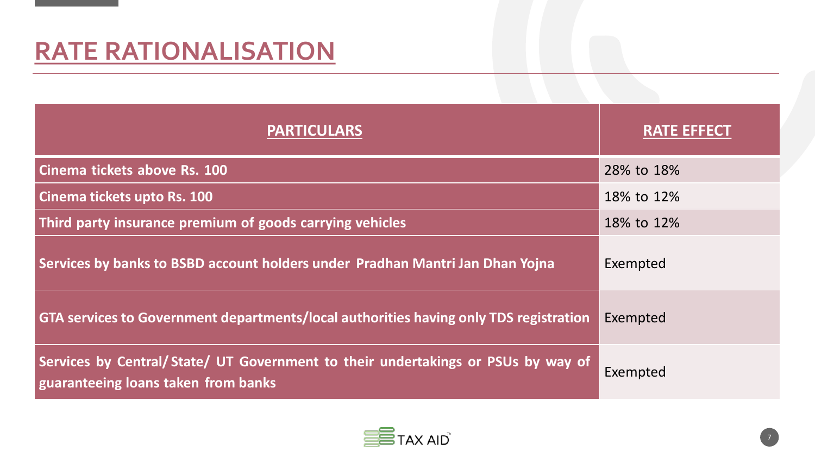#### **RATE RATIONALISATION**

| <b>PARTICULARS</b>                                                                                                      | <b>RATE EFFECT</b> |
|-------------------------------------------------------------------------------------------------------------------------|--------------------|
| Cinema tickets above Rs. 100                                                                                            | 28% to 18%         |
| Cinema tickets upto Rs. 100                                                                                             | 18% to 12%         |
| Third party insurance premium of goods carrying vehicles                                                                | 18% to 12%         |
| Services by banks to BSBD account holders under Pradhan Mantri Jan Dhan Yojna                                           | Exempted           |
| GTA services to Government departments/local authorities having only TDS registration                                   | Exempted           |
| Services by Central/State/ UT Government to their undertakings or PSUs by way of<br>guaranteeing loans taken from banks | Exempted           |

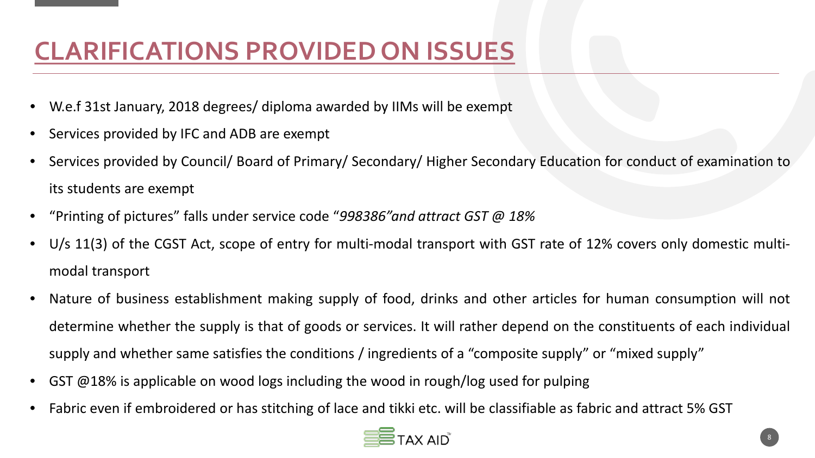## **CLARIFICATIONS PROVIDED ON ISSUES**

- W.e.f 31st January, 2018 degrees/ diploma awarded by IIMs will be exempt
- Services provided by IFC and ADB are exempt
- Services provided by Council/ Board of Primary/ Secondary/ Higher Secondary Education for conduct of examination to its students are exempt
- "Printing of pictures" falls under service code "*998386"and attract GST @ 18%*
- U/s 11(3) of the CGST Act, scope of entry for multi-modal transport with GST rate of 12% covers only domestic multimodal transport
- Nature of business establishment making supply of food, drinks and other articles for human consumption will not determine whether the supply is that of goods or services. It will rather depend on the constituents of each individual supply and whether same satisfies the conditions / ingredients of a "composite supply" or "mixed supply"
- GST @18% is applicable on wood logs including the wood in rough/log used for pulping
- Fabric even if embroidered or has stitching of lace and tikki etc. will be classifiable as fabric and attract 5% GST

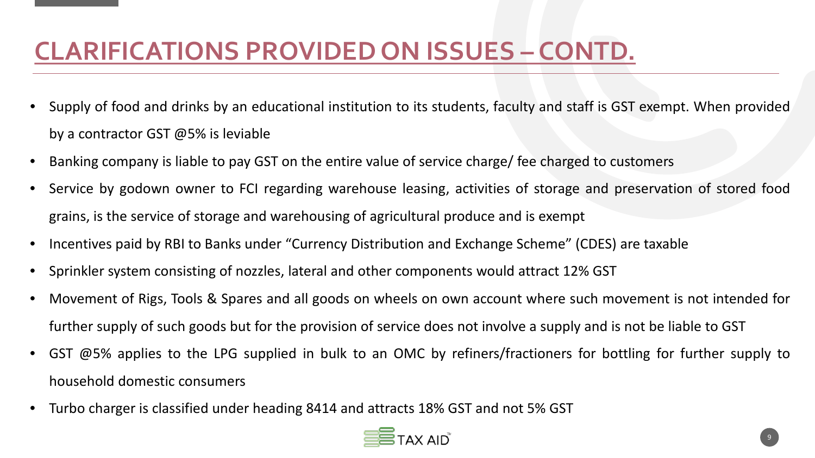### **CLARIFICATIONS PROVIDED ON ISSUES – CONTD.**

- Supply of food and drinks by an educational institution to its students, faculty and staff is GST exempt. When provided by a contractor GST @5% is leviable
- Banking company is liable to pay GST on the entire value of service charge/ fee charged to customers
- Service by godown owner to FCI regarding warehouse leasing, activities of storage and preservation of stored food grains, is the service of storage and warehousing of agricultural produce and is exempt
- Incentives paid by RBI to Banks under "Currency Distribution and Exchange Scheme" (CDES) are taxable
- Sprinkler system consisting of nozzles, lateral and other components would attract 12% GST
- Movement of Rigs, Tools & Spares and all goods on wheels on own account where such movement is not intended for further supply of such goods but for the provision of service does not involve a supply and is not be liable to GST
- GST @5% applies to the LPG supplied in bulk to an OMC by refiners/fractioners for bottling for further supply to household domestic consumers
- Turbo charger is classified under heading 8414 and attracts 18% GST and not 5% GST